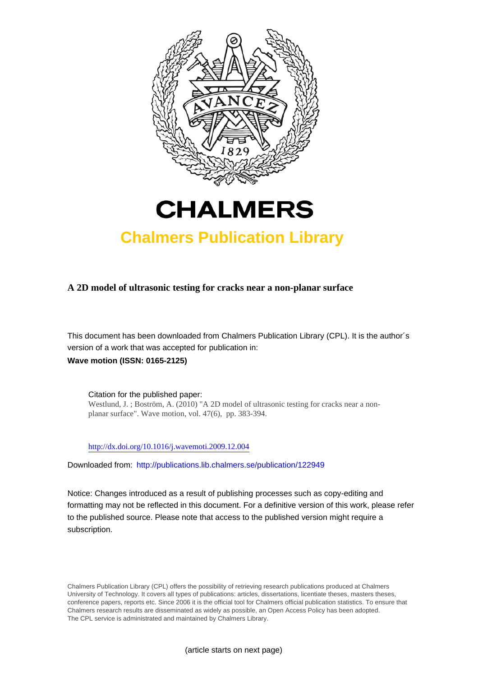



# **Chalmers Publication Library**

# **A 2D model of ultrasonic testing for cracks near a non-planar surface**

This document has been downloaded from Chalmers Publication Library (CPL). It is the author´s version of a work that was accepted for publication in: **Wave motion (ISSN: 0165-2125)**

Citation for the published paper: Westlund, J. ; Boström, A. (2010) "A 2D model of ultrasonic testing for cracks near a nonplanar surface". Wave motion, vol. 47(6), pp. 383-394.

#### <http://dx.doi.org/10.1016/j.wavemoti.2009.12.004>

Downloaded from: <http://publications.lib.chalmers.se/publication/122949>

Notice: Changes introduced as a result of publishing processes such as copy-editing and formatting may not be reflected in this document. For a definitive version of this work, please refer to the published source. Please note that access to the published version might require a subscription.

Chalmers Publication Library (CPL) offers the possibility of retrieving research publications produced at Chalmers University of Technology. It covers all types of publications: articles, dissertations, licentiate theses, masters theses, conference papers, reports etc. Since 2006 it is the official tool for Chalmers official publication statistics. To ensure that Chalmers research results are disseminated as widely as possible, an Open Access Policy has been adopted. The CPL service is administrated and maintained by Chalmers Library.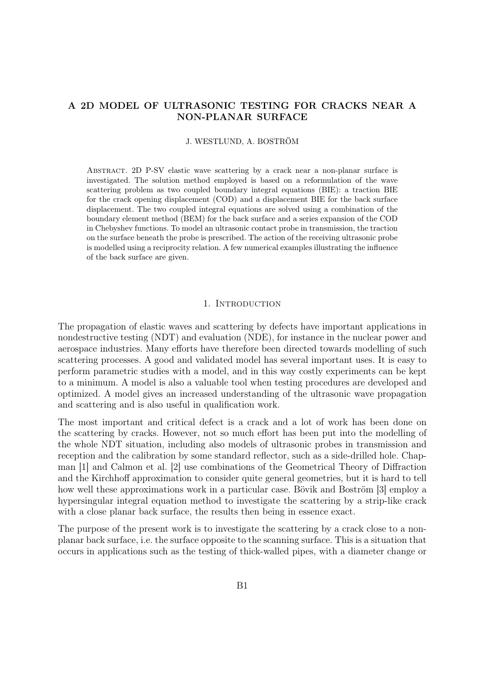# A 2D MODEL OF ULTRASONIC TESTING FOR CRACKS NEAR A NON-PLANAR SURFACE

#### J. WESTLUND, A. BOSTRÖM

Abstract. 2D P-SV elastic wave scattering by a crack near a non-planar surface is investigated. The solution method employed is based on a reformulation of the wave scattering problem as two coupled boundary integral equations (BIE): a traction BIE for the crack opening displacement (COD) and a displacement BIE for the back surface displacement. The two coupled integral equations are solved using a combination of the boundary element method (BEM) for the back surface and a series expansion of the COD in Chebyshev functions. To model an ultrasonic contact probe in transmission, the traction on the surface beneath the probe is prescribed. The action of the receiving ultrasonic probe is modelled using a reciprocity relation. A few numerical examples illustrating the influence of the back surface are given.

#### 1. INTRODUCTION

The propagation of elastic waves and scattering by defects have important applications in nondestructive testing (NDT) and evaluation (NDE), for instance in the nuclear power and aerospace industries. Many efforts have therefore been directed towards modelling of such scattering processes. A good and validated model has several important uses. It is easy to perform parametric studies with a model, and in this way costly experiments can be kept to a minimum. A model is also a valuable tool when testing procedures are developed and optimized. A model gives an increased understanding of the ultrasonic wave propagation and scattering and is also useful in qualification work.

The most important and critical defect is a crack and a lot of work has been done on the scattering by cracks. However, not so much effort has been put into the modelling of the whole NDT situation, including also models of ultrasonic probes in transmission and reception and the calibration by some standard reflector, such as a side-drilled hole. Chapman [1] and Calmon et al. [2] use combinations of the Geometrical Theory of Diffraction and the Kirchhoff approximation to consider quite general geometries, but it is hard to tell how well these approximations work in a particular case. Bövik and Boström [3] employ a hypersingular integral equation method to investigate the scattering by a strip-like crack with a close planar back surface, the results then being in essence exact.

The purpose of the present work is to investigate the scattering by a crack close to a nonplanar back surface, i.e. the surface opposite to the scanning surface. This is a situation that occurs in applications such as the testing of thick-walled pipes, with a diameter change or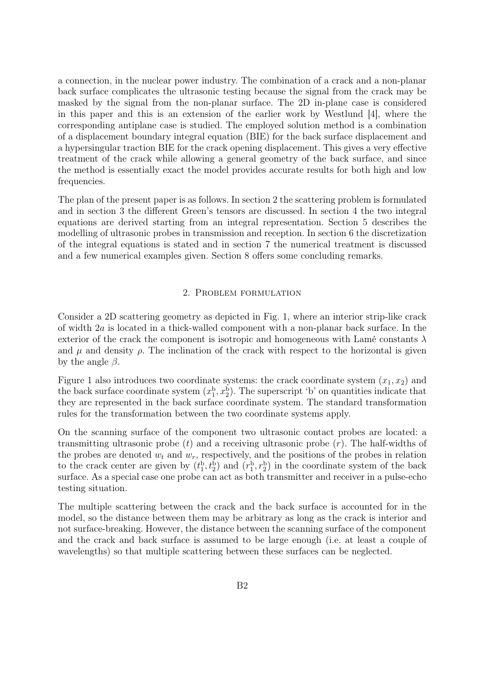a connection, in the nuclear power industry. The combination of a crack and a non-planar back surface complicates the ultrasonic testing because the signal from the crack may be masked by the signal from the non-planar surface. The 2D in-plane case is considered in this paper and this is an extension of the earlier work by Westlund [4], where the corresponding antiplane case is studied. The employed solution method is a combination of a displacement boundary integral equation (BIE) for the back surface displacement and a hypersingular traction BIE for the crack opening displacement. This gives a very effective treatment of the crack while allowing a general geometry of the back surface, and since the method is essentially exact the model provides accurate results for both high and low frequencies.

The plan of the present paper is as follows. In section 2 the scattering problem is formulated and in section 3 the different Green's tensors are discussed. In section 4 the two integral equations are derived starting from an integral representation. Section 5 describes the modelling of ultrasonic probes in transmission and reception. In section 6 the discretization of the integral equations is stated and in section 7 the numerical treatment is discussed and a few numerical examples given. Section 8 offers some concluding remarks.

### 2. Problem formulation

Consider a 2D scattering geometry as depicted in Fig. 1, where an interior strip-like crack of width 2a is located in a thick-walled component with a non-planar back surface. In the exterior of the crack the component is isotropic and homogeneous with Lamé constants  $\lambda$ and  $\mu$  and density  $\rho$ . The inclination of the crack with respect to the horizontal is given by the angle  $\beta$ .

Figure 1 also introduces two coordinate systems: the crack coordinate system  $(x_1, x_2)$  and the back surface coordinate system  $(x_1^{\rm b}, x_2^{\rm b})$ . The superscript 'b' on quantities indicate that they are represented in the back surface coordinate system. The standard transformation rules for the transformation between the two coordinate systems apply.

On the scanning surface of the component two ultrasonic contact probes are located: a transmitting ultrasonic probe  $(t)$  and a receiving ultrasonic probe  $(r)$ . The half-widths of the probes are denoted  $w_t$  and  $w_r$ , respectively, and the positions of the probes in relation to the crack center are given by  $(t_1^b, t_2^b)$  and  $(r_1^b, r_2^b)$  in the coordinate system of the back surface. As a special case one probe can act as both transmitter and receiver in a pulse-echo testing situation.

The multiple scattering between the crack and the back surface is accounted for in the model, so the distance between them may be arbitrary as long as the crack is interior and not surface-breaking. However, the distance between the scanning surface of the component and the crack and back surface is assumed to be large enough (i.e. at least a couple of wavelengths) so that multiple scattering between these surfaces can be neglected.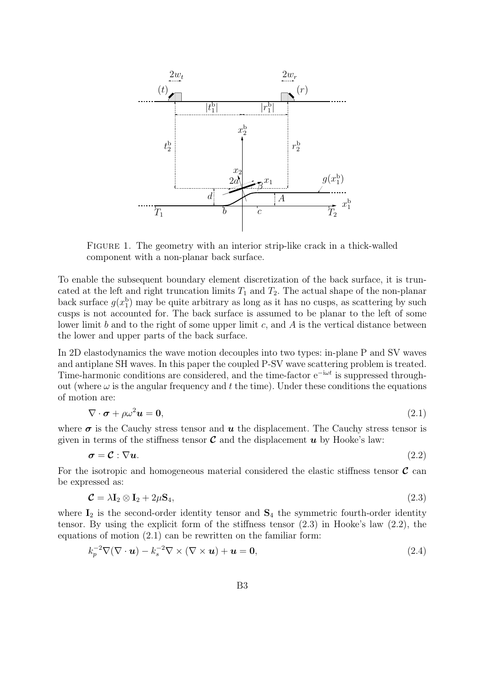

FIGURE 1. The geometry with an interior strip-like crack in a thick-walled component with a non-planar back surface.

To enable the subsequent boundary element discretization of the back surface, it is truncated at the left and right truncation limits  $T_1$  and  $T_2$ . The actual shape of the non-planar back surface  $g(x_1^b)$  may be quite arbitrary as long as it has no cusps, as scattering by such cusps is not accounted for. The back surface is assumed to be planar to the left of some lower limit b and to the right of some upper limit c, and A is the vertical distance between the lower and upper parts of the back surface.

In 2D elastodynamics the wave motion decouples into two types: in-plane P and SV waves and antiplane SH waves. In this paper the coupled P-SV wave scattering problem is treated. Time-harmonic conditions are considered, and the time-factor  $e^{-i\omega t}$  is suppressed throughout (where  $\omega$  is the angular frequency and t the time). Under these conditions the equations of motion are:

$$
\nabla \cdot \boldsymbol{\sigma} + \rho \omega^2 \boldsymbol{u} = \mathbf{0},\tag{2.1}
$$

where  $\sigma$  is the Cauchy stress tensor and u the displacement. The Cauchy stress tensor is given in terms of the stiffness tensor  $\mathcal C$  and the displacement  $\mathbf u$  by Hooke's law:

$$
\boldsymbol{\sigma} = \boldsymbol{\mathcal{C}} : \nabla \boldsymbol{u}.\tag{2.2}
$$

For the isotropic and homogeneous material considered the elastic stiffness tensor  $\mathcal C$  can be expressed as:

$$
\mathcal{C} = \lambda \mathbf{I}_2 \otimes \mathbf{I}_2 + 2\mu \mathbf{S}_4,\tag{2.3}
$$

where  $I_2$  is the second-order identity tensor and  $S_4$  the symmetric fourth-order identity tensor. By using the explicit form of the stiffness tensor (2.3) in Hooke's law (2.2), the equations of motion (2.1) can be rewritten on the familiar form:

$$
k_p^{-2} \nabla (\nabla \cdot \mathbf{u}) - k_s^{-2} \nabla \times (\nabla \times \mathbf{u}) + \mathbf{u} = \mathbf{0},
$$
\n(2.4)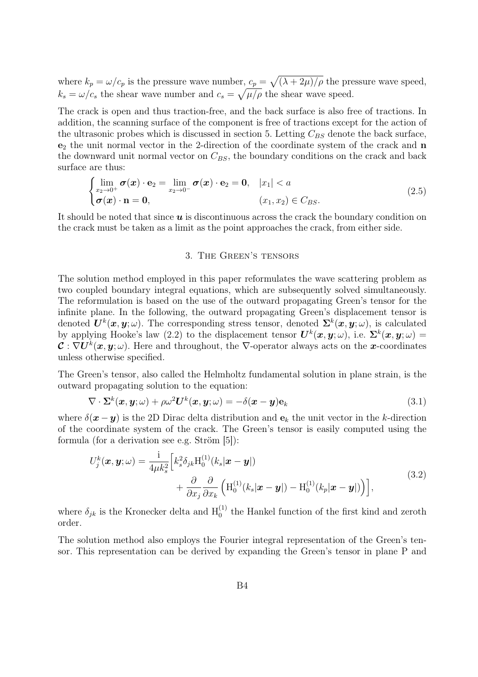where  $k_p = \omega/c_p$  is the pressure wave number,  $c_p = \sqrt{(\lambda + 2\mu)/\rho}$  the pressure wave speed,  $k_s = \omega/c_s$  the shear wave number and  $c_s = \sqrt{\mu/\rho}$  the shear wave speed.

The crack is open and thus traction-free, and the back surface is also free of tractions. In addition, the scanning surface of the component is free of tractions except for the action of the ultrasonic probes which is discussed in section 5. Letting  $C_{BS}$  denote the back surface,  $e_2$  the unit normal vector in the 2-direction of the coordinate system of the crack and n the downward unit normal vector on  $C_{BS}$ , the boundary conditions on the crack and back surface are thus:

$$
\begin{cases}\n\lim_{x_2 \to 0^+} \boldsymbol{\sigma}(x) \cdot \mathbf{e}_2 = \lim_{x_2 \to 0^-} \boldsymbol{\sigma}(x) \cdot \mathbf{e}_2 = \mathbf{0}, & |x_1| < a \\
\boldsymbol{\sigma}(x) \cdot \mathbf{n} = \mathbf{0}, & (x_1, x_2) \in C_{BS}.\n\end{cases}
$$
\n(2.5)

It should be noted that since  $\boldsymbol{u}$  is discontinuous across the crack the boundary condition on the crack must be taken as a limit as the point approaches the crack, from either side.

### 3. The Green's tensors

The solution method employed in this paper reformulates the wave scattering problem as two coupled boundary integral equations, which are subsequently solved simultaneously. The reformulation is based on the use of the outward propagating Green's tensor for the infinite plane. In the following, the outward propagating Green's displacement tensor is denoted  $\overline{U}^k(x, y; \omega)$ . The corresponding stress tensor, denoted  $\Sigma^k(x, y; \omega)$ , is calculated by applying Hooke's law (2.2) to the displacement tensor  $\mathbf{U}^k(\bm{x},\bm{y};\omega)$ , i.e.  $\mathbf{\Sigma}^k(\bm{x},\bm{y};\omega)$  $\mathcal{C}: \nabla U^k(\boldsymbol{x},\boldsymbol{y};\omega)$ . Here and throughout, the  $\nabla$ -operator always acts on the  $\boldsymbol{x}$ -coordinates unless otherwise specified.

The Green's tensor, also called the Helmholtz fundamental solution in plane strain, is the outward propagating solution to the equation:

$$
\nabla \cdot \Sigma^{k}(\boldsymbol{x}, \boldsymbol{y}; \omega) + \rho \omega^{2} \boldsymbol{U}^{k}(\boldsymbol{x}, \boldsymbol{y}; \omega) = -\delta(\boldsymbol{x} - \boldsymbol{y}) \mathbf{e}_{k}
$$
\n(3.1)

where  $\delta(x - y)$  is the 2D Dirac delta distribution and  $e_k$  the unit vector in the k-direction of the coordinate system of the crack. The Green's tensor is easily computed using the formula (for a derivation see e.g. Ström [5]):

$$
U_j^k(\boldsymbol{x}, \boldsymbol{y}; \omega) = \frac{1}{4\mu k_s^2} \Big[ k_s^2 \delta_{jk} H_0^{(1)}(k_s | \boldsymbol{x} - \boldsymbol{y}|) + \frac{\partial}{\partial x_j} \frac{\partial}{\partial x_k} \Big( H_0^{(1)}(k_s | \boldsymbol{x} - \boldsymbol{y}|) - H_0^{(1)}(k_p | \boldsymbol{x} - \boldsymbol{y}|) \Big) \Big],
$$
\n(3.2)

where  $\delta_{jk}$  is the Kronecker delta and  $H_0^{(1)}$  $_0^{(1)}$  the Hankel function of the first kind and zeroth order.

The solution method also employs the Fourier integral representation of the Green's tensor. This representation can be derived by expanding the Green's tensor in plane P and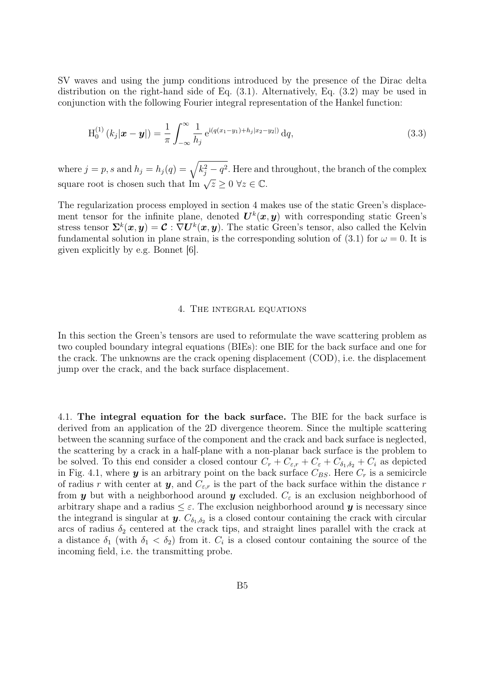SV waves and using the jump conditions introduced by the presence of the Dirac delta distribution on the right-hand side of Eq. (3.1). Alternatively, Eq. (3.2) may be used in conjunction with the following Fourier integral representation of the Hankel function:

$$
H_0^{(1)}\left(k_j|\boldsymbol{x}-\boldsymbol{y}|\right) = \frac{1}{\pi} \int_{-\infty}^{\infty} \frac{1}{h_j} e^{i(q(x_1-y_1)+h_j|x_2-y_2|)} dq,
$$
\n(3.3)

where  $j = p$ , s and  $h_j = h_j(q) = \sqrt{k_j^2 - q^2}$ . Here and throughout, the branch of the complex square root is chosen such that  $\overline{\text{Im}} \sqrt{z} \geq 0 \ \forall z \in \mathbb{C}$ .

The regularization process employed in section 4 makes use of the static Green's displacement tensor for the infinite plane, denoted  $\bm{U}^k(\bm{x}, \bm{y})$  with corresponding static Green's stress tensor  $\Sigma^k(x, y) = \mathcal{C} : \nabla U^k(x, y)$ . The static Green's tensor, also called the Kelvin fundamental solution in plane strain, is the corresponding solution of (3.1) for  $\omega = 0$ . It is given explicitly by e.g. Bonnet [6].

#### 4. The integral equations

In this section the Green's tensors are used to reformulate the wave scattering problem as two coupled boundary integral equations (BIEs): one BIE for the back surface and one for the crack. The unknowns are the crack opening displacement (COD), i.e. the displacement jump over the crack, and the back surface displacement.

4.1. The integral equation for the back surface. The BIE for the back surface is derived from an application of the 2D divergence theorem. Since the multiple scattering between the scanning surface of the component and the crack and back surface is neglected, the scattering by a crack in a half-plane with a non-planar back surface is the problem to be solved. To this end consider a closed contour  $C_r + C_{\varepsilon,r} + C_{\varepsilon} + C_{\delta_1,\delta_2} + C_i$  as depicted in Fig. 4.1, where  $y$  is an arbitrary point on the back surface  $C_{BS}$ . Here  $C_r$  is a semicircle of radius r with center at  $y$ , and  $C_{\varepsilon,r}$  is the part of the back surface within the distance r from y but with a neighborhood around y excluded.  $C_{\varepsilon}$  is an exclusion neighborhood of arbitrary shape and a radius  $\leq \varepsilon$ . The exclusion neighborhood around **y** is necessary since the integrand is singular at  $y$ .  $C_{\delta_1,\delta_2}$  is a closed contour containing the crack with circular arcs of radius  $\delta_2$  centered at the crack tips, and straight lines parallel with the crack at a distance  $\delta_1$  (with  $\delta_1 < \delta_2$ ) from it.  $C_i$  is a closed contour containing the source of the incoming field, i.e. the transmitting probe.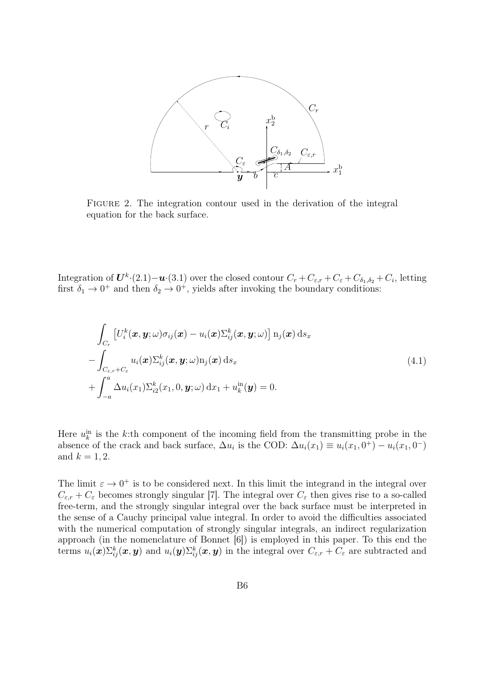

FIGURE 2. The integration contour used in the derivation of the integral equation for the back surface.

Integration of  $\mathbf{U}^k \cdot (2.1) - \mathbf{u} \cdot (3.1)$  over the closed contour  $C_r + C_{\varepsilon,r} + C_{\varepsilon} + C_{\delta_1,\delta_2} + C_i$ , letting first  $\delta_1 \to 0^+$  and then  $\delta_2 \to 0^+$ , yields after invoking the boundary conditions:

$$
\int_{C_r} \left[ U_i^k(\boldsymbol{x}, \boldsymbol{y}; \omega) \sigma_{ij}(\boldsymbol{x}) - u_i(\boldsymbol{x}) \Sigma_{ij}^k(\boldsymbol{x}, \boldsymbol{y}; \omega) \right] n_j(\boldsymbol{x}) d s_x \n- \int_{C_{\varepsilon,r} + C_{\varepsilon}} u_i(\boldsymbol{x}) \Sigma_{ij}^k(\boldsymbol{x}, \boldsymbol{y}; \omega) n_j(\boldsymbol{x}) d s_x \n+ \int_{-a}^a \Delta u_i(x_1) \Sigma_{i2}^k(x_1, 0, \boldsymbol{y}; \omega) d x_1 + u_k^{in}(\boldsymbol{y}) = 0.
$$
\n(4.1)

Here  $u_k^{\text{in}}$  is the k:th component of the incoming field from the transmitting probe in the absence of the crack and back surface,  $\Delta u_i$  is the COD:  $\Delta u_i(x_1) \equiv u_i(x_1, 0^+) - u_i(x_1, 0^-)$ and  $k = 1, 2$ .

The limit  $\varepsilon \to 0^+$  is to be considered next. In this limit the integrand in the integral over  $C_{\varepsilon,r} + C_{\varepsilon}$  becomes strongly singular [7]. The integral over  $C_{\varepsilon}$  then gives rise to a so-called free-term, and the strongly singular integral over the back surface must be interpreted in the sense of a Cauchy principal value integral. In order to avoid the difficulties associated with the numerical computation of strongly singular integrals, an indirect regularization approach (in the nomenclature of Bonnet [6]) is employed in this paper. To this end the terms  $u_i(\bm{x})\sum_{ij}^k(\bm{x},\bm{y})$  and  $u_i(\bm{y})\sum_{ij}^k(\bm{x},\bm{y})$  in the integral over  $C_{\varepsilon,r}+C_{\varepsilon}$  are subtracted and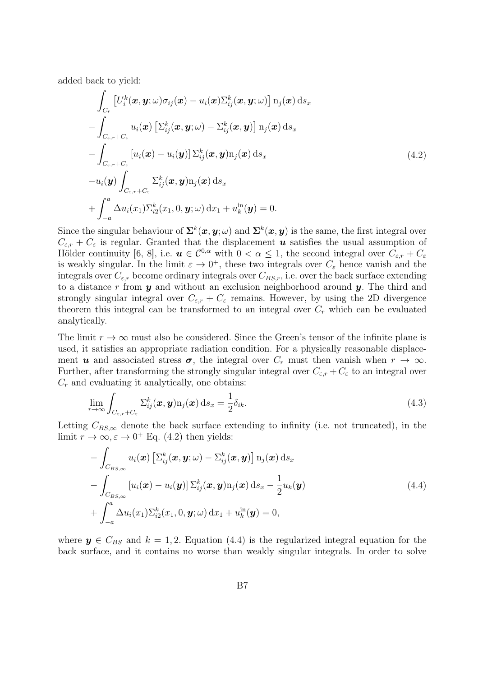added back to yield:

$$
\int_{C_r} \left[ U_i^k(\boldsymbol{x}, \boldsymbol{y}; \omega) \sigma_{ij}(\boldsymbol{x}) - u_i(\boldsymbol{x}) \Sigma_{ij}^k(\boldsymbol{x}, \boldsymbol{y}; \omega) \right] n_j(\boldsymbol{x}) d s_x \n- \int_{C_{\varepsilon,r} + C_{\varepsilon}} u_i(\boldsymbol{x}) \left[ \Sigma_{ij}^k(\boldsymbol{x}, \boldsymbol{y}; \omega) - \Sigma_{ij}^k(\boldsymbol{x}, \boldsymbol{y}) \right] n_j(\boldsymbol{x}) d s_x \n- \int_{C_{\varepsilon,r} + C_{\varepsilon}} [u_i(\boldsymbol{x}) - u_i(\boldsymbol{y})] \Sigma_{ij}^k(\boldsymbol{x}, \boldsymbol{y}) n_j(\boldsymbol{x}) d s_x \n- u_i(\boldsymbol{y}) \int_{C_{\varepsilon,r} + C_{\varepsilon}} \Sigma_{ij}^k(\boldsymbol{x}, \boldsymbol{y}) n_j(\boldsymbol{x}) d s_x \n+ \int_{-a}^a \Delta u_i(x_1) \Sigma_{i2}^k(x_1, 0, \boldsymbol{y}; \omega) d x_1 + u_k^{in}(\boldsymbol{y}) = 0.
$$
\n(4.2)

Since the singular behaviour of  $\mathbf{\Sigma}^k(\bm{x},\bm{y};\omega)$  and  $\mathbf{\Sigma}^k(\bm{x},\bm{y})$  is the same, the first integral over  $C_{\varepsilon,r} + C_{\varepsilon}$  is regular. Granted that the displacement **u** satisfies the usual assumption of Hölder continuity [6, 8], i.e.  $u \in C^{0,\alpha}$  with  $0 < \alpha \leq 1$ , the second integral over  $C_{\varepsilon,r} + C_{\varepsilon}$ is weakly singular. In the limit  $\varepsilon \to 0^+$ , these two integrals over  $C_{\varepsilon}$  hence vanish and the integrals over  $C_{\varepsilon,r}$  become ordinary integrals over  $C_{BS,r}$ , i.e. over the back surface extending to a distance r from  $y$  and without an exclusion neighborhood around  $y$ . The third and strongly singular integral over  $C_{\varepsilon,r} + C_{\varepsilon}$  remains. However, by using the 2D divergence theorem this integral can be transformed to an integral over  $C_r$  which can be evaluated analytically.

The limit  $r \to \infty$  must also be considered. Since the Green's tensor of the infinite plane is used, it satisfies an appropriate radiation condition. For a physically reasonable displacement u and associated stress  $\sigma$ , the integral over  $C_r$  must then vanish when  $r \to \infty$ . Further, after transforming the strongly singular integral over  $C_{\varepsilon,r} + C_{\varepsilon}$  to an integral over  $C_r$  and evaluating it analytically, one obtains:

$$
\lim_{r \to \infty} \int_{C_{\varepsilon,r} + C_{\varepsilon}} \Sigma_{ij}^k(\boldsymbol{x}, \boldsymbol{y}) \mathbf{n}_j(\boldsymbol{x}) \, \mathrm{d}s_x = \frac{1}{2} \delta_{ik}.
$$
\n(4.3)

Letting  $C_{BS,\infty}$  denote the back surface extending to infinity (i.e. not truncated), in the limit  $r \to \infty, \varepsilon \to 0^+$  Eq. (4.2) then yields:

$$
-\int_{C_{BS,\infty}} u_i(\boldsymbol{x}) \left[\sum_{ij}^k (\boldsymbol{x}, \boldsymbol{y}; \omega) - \sum_{ij}^k (\boldsymbol{x}, \boldsymbol{y})\right] n_j(\boldsymbol{x}) d s_x -\int_{C_{BS,\infty}} [u_i(\boldsymbol{x}) - u_i(\boldsymbol{y})] \sum_{ij}^k (\boldsymbol{x}, \boldsymbol{y}) n_j(\boldsymbol{x}) d s_x - \frac{1}{2} u_k(\boldsymbol{y}) + \int_{-a}^a \Delta u_i(x_1) \sum_{i=1}^k (x_1, 0, \boldsymbol{y}; \omega) d x_1 + u_k^{\text{in}}(\boldsymbol{y}) = 0,
$$
\n(4.4)

where  $y \in C_{BS}$  and  $k = 1, 2$ . Equation (4.4) is the regularized integral equation for the back surface, and it contains no worse than weakly singular integrals. In order to solve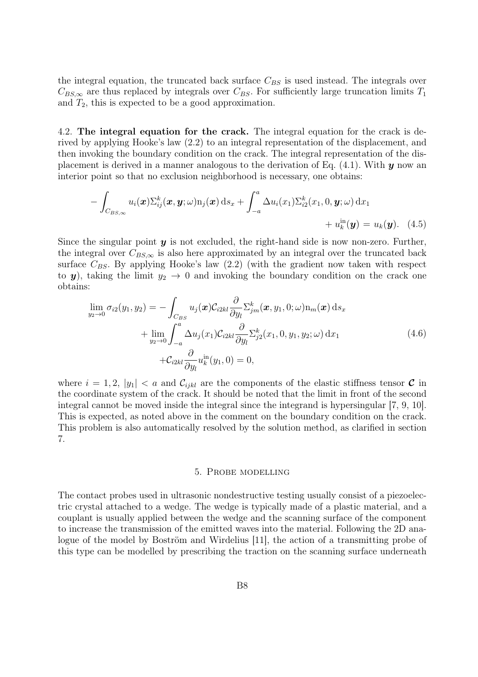the integral equation, the truncated back surface  $C_{BS}$  is used instead. The integrals over  $C_{BS,\infty}$  are thus replaced by integrals over  $C_{BS}$ . For sufficiently large truncation limits  $T_1$ and  $T_2$ , this is expected to be a good approximation.

4.2. The integral equation for the crack. The integral equation for the crack is derived by applying Hooke's law (2.2) to an integral representation of the displacement, and then invoking the boundary condition on the crack. The integral representation of the displacement is derived in a manner analogous to the derivation of Eq.  $(4.1)$ . With y now an interior point so that no exclusion neighborhood is necessary, one obtains:

$$
-\int_{C_{BS,\infty}} u_i(\boldsymbol{x}) \Sigma_{ij}^k(\boldsymbol{x}, \boldsymbol{y}; \omega) \mathbf{n}_j(\boldsymbol{x}) \, \mathrm{d} s_x + \int_{-a}^a \Delta u_i(x_1) \Sigma_{i2}^k(x_1, 0, \boldsymbol{y}; \omega) \, \mathrm{d} x_1 + u_k^{\mathrm{in}}(\boldsymbol{y}) = u_k(\boldsymbol{y}). \tag{4.5}
$$

Since the singular point  $y$  is not excluded, the right-hand side is now non-zero. Further, the integral over  $C_{BS,\infty}$  is also here approximated by an integral over the truncated back surface  $C_{BS}$ . By applying Hooke's law  $(2.2)$  (with the gradient now taken with respect to y), taking the limit  $y_2 \rightarrow 0$  and invoking the boundary condition on the crack one obtains:

$$
\lim_{y_2 \to 0} \sigma_{i2}(y_1, y_2) = -\int_{C_{BS}} u_j(\boldsymbol{x}) \mathcal{C}_{i2kl} \frac{\partial}{\partial y_l} \Sigma_{jm}^k(\boldsymbol{x}, y_1, 0; \omega) \mathbf{n}_m(\boldsymbol{x}) \, \mathrm{d}s_x \n+ \lim_{y_2 \to 0} \int_{-a}^a \Delta u_j(x_1) \mathcal{C}_{i2kl} \frac{\partial}{\partial y_l} \Sigma_{j2}^k(x_1, 0, y_1, y_2; \omega) \, \mathrm{d}x_1 \n+ \mathcal{C}_{i2kl} \frac{\partial}{\partial y_l} u_k^{\text{in}}(y_1, 0) = 0,
$$
\n(4.6)

where  $i = 1, 2, |y_1| < a$  and  $\mathcal{C}_{ijkl}$  are the components of the elastic stiffness tensor  $\mathcal{C}$  in the coordinate system of the crack. It should be noted that the limit in front of the second integral cannot be moved inside the integral since the integrand is hypersingular [7, 9, 10]. This is expected, as noted above in the comment on the boundary condition on the crack. This problem is also automatically resolved by the solution method, as clarified in section 7.

#### 5. Probe modelling

The contact probes used in ultrasonic nondestructive testing usually consist of a piezoelectric crystal attached to a wedge. The wedge is typically made of a plastic material, and a couplant is usually applied between the wedge and the scanning surface of the component to increase the transmission of the emitted waves into the material. Following the 2D analogue of the model by Boström and Wirdelius [11], the action of a transmitting probe of this type can be modelled by prescribing the traction on the scanning surface underneath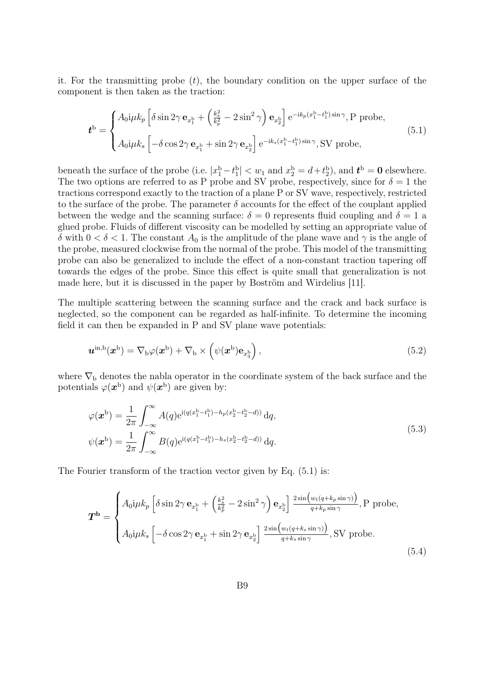it. For the transmitting probe  $(t)$ , the boundary condition on the upper surface of the component is then taken as the traction:

$$
\boldsymbol{t}^{\mathrm{b}} = \begin{cases} A_0 \mathrm{i} \mu k_p \left[ \delta \sin 2\gamma \mathbf{e}_{x_1^{\mathrm{b}}} + \left( \frac{k_s^2}{k_p^2} - 2 \sin^2 \gamma \right) \mathbf{e}_{x_2^{\mathrm{b}}} \right] e^{-\mathrm{i} k_p (x_1^{\mathrm{b}} - t_1^{\mathrm{b}}) \sin \gamma}, \mathrm{P \ probe}, \\ A_0 \mathrm{i} \mu k_s \left[ -\delta \cos 2\gamma \mathbf{e}_{x_1^{\mathrm{b}}} + \sin 2\gamma \mathbf{e}_{x_2^{\mathrm{b}}} \right] e^{-\mathrm{i} k_s (x_1^{\mathrm{b}} - t_1^{\mathrm{b}}) \sin \gamma}, \mathrm{SV \ probe}, \end{cases} \tag{5.1}
$$

beneath the surface of the probe (i.e.  $|x_1^b - t_1^b| < w_1$  and  $x_2^b = d + t_2^b$ ), and  $t^b = 0$  elsewhere. The two options are referred to as P probe and SV probe, respectively, since for  $\delta = 1$  the tractions correspond exactly to the traction of a plane P or SV wave, respectively, restricted to the surface of the probe. The parameter  $\delta$  accounts for the effect of the couplant applied between the wedge and the scanning surface:  $\delta = 0$  represents fluid coupling and  $\delta = 1$  a glued probe. Fluids of different viscosity can be modelled by setting an appropriate value of δ with 0 < δ < 1. The constant A<sup>0</sup> is the amplitude of the plane wave and γ is the angle of the probe, measured clockwise from the normal of the probe. This model of the transmitting probe can also be generalized to include the effect of a non-constant traction tapering off towards the edges of the probe. Since this effect is quite small that generalization is not made here, but it is discussed in the paper by Boström and Wirdelius [11].

The multiple scattering between the scanning surface and the crack and back surface is neglected, so the component can be regarded as half-infinite. To determine the incoming field it can then be expanded in P and SV plane wave potentials:

$$
\boldsymbol{u}^{\text{in,b}}(\boldsymbol{x}^{\text{b}}) = \nabla_{\text{b}}\varphi(\boldsymbol{x}^{\text{b}}) + \nabla_{\text{b}} \times \left(\psi(\boldsymbol{x}^{\text{b}})\mathbf{e}_{x_3^{\text{b}}}\right),\tag{5.2}
$$

where  $\nabla_b$  denotes the nabla operator in the coordinate system of the back surface and the potentials  $\varphi(\boldsymbol{x}^{\text{b}})$  and  $\psi(\boldsymbol{x}^{\text{b}})$  are given by:

$$
\varphi(\boldsymbol{x}^{b}) = \frac{1}{2\pi} \int_{-\infty}^{\infty} A(q) e^{i(q(x_{1}^{b} - t_{1}^{b}) - h_{p}(x_{2}^{b} - t_{2}^{b} - d))} dq,
$$
  

$$
\psi(\boldsymbol{x}^{b}) = \frac{1}{2\pi} \int_{-\infty}^{\infty} B(q) e^{i(q(x_{1}^{b} - t_{1}^{b}) - h_{s}(x_{2}^{b} - t_{2}^{b} - d))} dq.
$$
\n(5.3)

The Fourier transform of the traction vector given by Eq.  $(5.1)$  is:

$$
\boldsymbol{T}^{\mathbf{b}} = \begin{cases} A_0 \mathrm{i} \mu k_p \left[ \delta \sin 2\gamma \mathbf{e}_{x_1^{\mathbf{b}}} + \left( \frac{k_s^2}{k_p^2} - 2 \sin^2 \gamma \right) \mathbf{e}_{x_2^{\mathbf{b}}} \right] \frac{2 \sin \left( w_t (q + k_p \sin \gamma) \right)}{q + k_p \sin \gamma}, \text{P probe,} \\ A_0 \mathrm{i} \mu k_s \left[ -\delta \cos 2\gamma \mathbf{e}_{x_1^{\mathbf{b}}} + \sin 2\gamma \mathbf{e}_{x_2^{\mathbf{b}}} \right] \frac{2 \sin \left( w_t (q + k_s \sin \gamma) \right)}{q + k_s \sin \gamma}, \text{SV probe.} \end{cases} \tag{5.4}
$$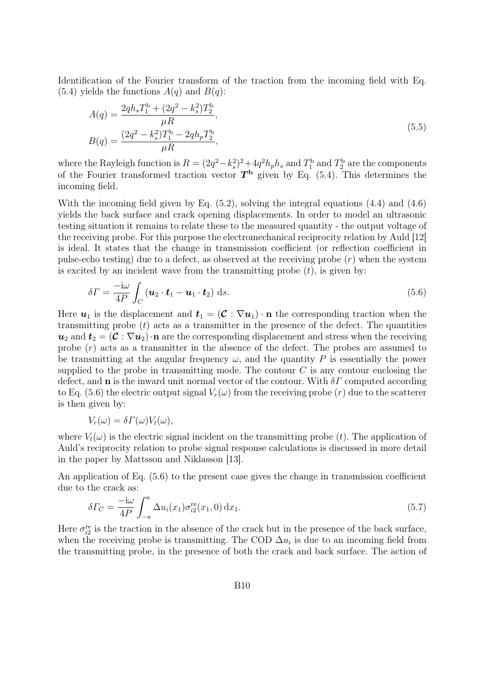Identification of the Fourier transform of the traction from the incoming field with Eq.  $(5.4)$  yields the functions  $A(q)$  and  $B(q)$ :

$$
A(q) = \frac{2qh_sT_1^b + (2q^2 - k_s^2)T_2^b}{\mu R},
$$
  
\n
$$
B(q) = \frac{(2q^2 - k_s^2)T_1^b - 2qh_pT_2^b}{\mu R},
$$
\n(5.5)

where the Rayleigh function is  $R = (2q^2 - k_s^2)^2 + 4q^2 h_p h_s$  and  $T_1^{\text{b}}$  and  $T_2^{\text{b}}$  are the components of the Fourier transformed traction vector  $T^{\mathbf{b}}$  given by Eq. (5.4). This determines the incoming field.

With the incoming field given by Eq. (5.2), solving the integral equations (4.4) and (4.6) yields the back surface and crack opening displacements. In order to model an ultrasonic testing situation it remains to relate these to the measured quantity - the output voltage of the receiving probe. For this purpose the electromechanical reciprocity relation by Auld [12] is ideal. It states that the change in transmission coefficient (or reflection coefficient in pulse-echo testing) due to a defect, as observed at the receiving probe  $(r)$  when the system is excited by an incident wave from the transmitting probe  $(t)$ , is given by:

$$
\delta\Gamma = \frac{-i\omega}{4P} \int_C \left(\mathbf{u}_2 \cdot \mathbf{t}_1 - \mathbf{u}_1 \cdot \mathbf{t}_2\right) \, \mathrm{d}s. \tag{5.6}
$$

Here  $u_1$  is the displacement and  $t_1 = (\mathcal{C} : \nabla u_1) \cdot \mathbf{n}$  the corresponding traction when the transmitting probe  $(t)$  acts as a transmitter in the presence of the defect. The quantities  $u_2$  and  $t_2 = (C : \nabla u_2) \cdot \mathbf{n}$  are the corresponding displacement and stress when the receiving probe  $(r)$  acts as a transmitter in the absence of the defect. The probes are assumed to be transmitting at the angular frequency  $\omega$ , and the quantity P is essentially the power supplied to the probe in transmitting mode. The contour  $C$  is any contour enclosing the defect, and **n** is the inward unit normal vector of the contour. With  $\delta \Gamma$  computed according to Eq. (5.6) the electric output signal  $V_r(\omega)$  from the receiving probe (r) due to the scatterer is then given by:

$$
V_r(\omega) = \delta \Gamma(\omega) V_t(\omega),
$$

where  $V_t(\omega)$  is the electric signal incident on the transmitting probe (t). The application of Auld's reciprocity relation to probe signal response calculations is discussed in more detail in the paper by Mattsson and Niklasson [13].

An application of Eq. (5.6) to the present case gives the change in transmission coefficient due to the crack as:

$$
\delta\Gamma_C = \frac{-i\omega}{4P} \int_{-a}^{a} \Delta u_i(x_1) \sigma_{i2}^{\text{re}}(x_1, 0) \, \mathrm{d}x_1. \tag{5.7}
$$

Here  $\sigma_{i2}^{\text{re}}$  is the traction in the absence of the crack but in the presence of the back surface, when the receiving probe is transmitting. The COD  $\Delta u_i$  is due to an incoming field from the transmitting probe, in the presence of both the crack and back surface. The action of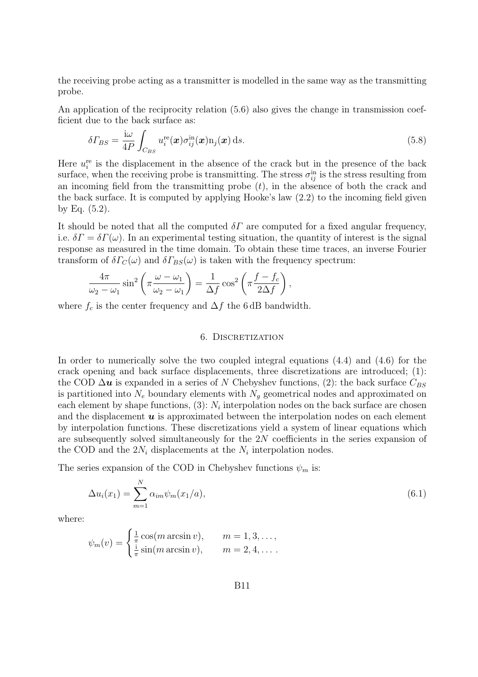the receiving probe acting as a transmitter is modelled in the same way as the transmitting probe.

An application of the reciprocity relation (5.6) also gives the change in transmission coefficient due to the back surface as:

$$
\delta\Gamma_{BS} = \frac{\mathrm{i}\omega}{4P} \int_{C_{BS}} u_i^{\mathrm{re}}(\boldsymbol{x}) \sigma_{ij}^{\mathrm{in}}(\boldsymbol{x}) \mathrm{n}_j(\boldsymbol{x}) \, \mathrm{d}s. \tag{5.8}
$$

Here  $u_i^{\text{re}}$  is the displacement in the absence of the crack but in the presence of the back surface, when the receiving probe is transmitting. The stress  $\sigma_{ij}^{\text{in}}$  is the stress resulting from an incoming field from the transmitting probe  $(t)$ , in the absence of both the crack and the back surface. It is computed by applying Hooke's law (2.2) to the incoming field given by Eq.  $(5.2)$ .

It should be noted that all the computed  $\delta\Gamma$  are computed for a fixed angular frequency, i.e.  $\delta\Gamma = \delta\Gamma(\omega)$ . In an experimental testing situation, the quantity of interest is the signal response as measured in the time domain. To obtain these time traces, an inverse Fourier transform of  $\delta\Gamma_C(\omega)$  and  $\delta\Gamma_{BS}(\omega)$  is taken with the frequency spectrum:

$$
\frac{4\pi}{\omega_2 - \omega_1} \sin^2\left(\pi \frac{\omega - \omega_1}{\omega_2 - \omega_1}\right) = \frac{1}{\Delta f} \cos^2\left(\pi \frac{f - f_c}{2\Delta f}\right),
$$

where  $f_c$  is the center frequency and  $\Delta f$  the 6 dB bandwidth.

#### 6. DISCRETIZATION

In order to numerically solve the two coupled integral equations (4.4) and (4.6) for the crack opening and back surface displacements, three discretizations are introduced; (1): the COD  $\Delta u$  is expanded in a series of N Chebyshev functions, (2): the back surface  $C_{BS}$ is partitioned into  $N_e$  boundary elements with  $N_g$  geometrical nodes and approximated on each element by shape functions,  $(3)$ :  $N_i$  interpolation nodes on the back surface are chosen and the displacement  $\boldsymbol{u}$  is approximated between the interpolation nodes on each element by interpolation functions. These discretizations yield a system of linear equations which are subsequently solved simultaneously for the  $2N$  coefficients in the series expansion of the COD and the  $2N_i$  displacements at the  $N_i$  interpolation nodes.

The series expansion of the COD in Chebyshev functions  $\psi_m$  is:

$$
\Delta u_i(x_1) = \sum_{m=1}^{N} \alpha_{im} \psi_m(x_1/a), \qquad (6.1)
$$

where:

$$
\psi_m(v) = \begin{cases} \frac{1}{\pi} \cos(m \arcsin v), & m = 1, 3, \dots, \\ \frac{1}{\pi} \sin(m \arcsin v), & m = 2, 4, \dots. \end{cases}
$$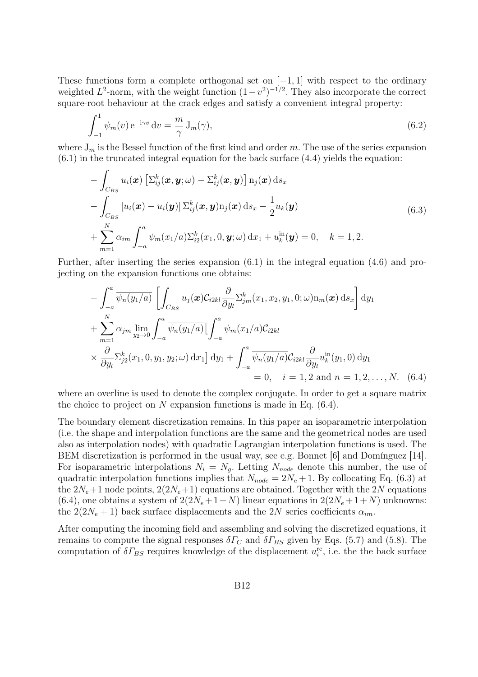These functions form a complete orthogonal set on  $[-1, 1]$  with respect to the ordinary weighted  $L^2$ -norm, with the weight function  $(1-v^2)^{-1/2}$ . They also incorporate the correct square-root behaviour at the crack edges and satisfy a convenient integral property:

$$
\int_{-1}^{1} \psi_m(v) e^{-i\gamma v} dv = \frac{m}{\gamma} J_m(\gamma), \qquad (6.2)
$$

where  $J_m$  is the Bessel function of the first kind and order m. The use of the series expansion  $(6.1)$  in the truncated integral equation for the back surface  $(4.4)$  yields the equation:

$$
-\int_{C_{BS}} u_i(\boldsymbol{x}) \left[ \Sigma_{ij}^k(\boldsymbol{x}, \boldsymbol{y}; \omega) - \Sigma_{ij}^k(\boldsymbol{x}, \boldsymbol{y}) \right] n_j(\boldsymbol{x}) d s_x -\int_{C_{BS}} [u_i(\boldsymbol{x}) - u_i(\boldsymbol{y})] \Sigma_{ij}^k(\boldsymbol{x}, \boldsymbol{y}) n_j(\boldsymbol{x}) d s_x - \frac{1}{2} u_k(\boldsymbol{y}) +\sum_{m=1}^N \alpha_{im} \int_{-a}^a \psi_m(x_1/a) \Sigma_{i2}^k(x_1, 0, \boldsymbol{y}; \omega) d x_1 + u_k^{\text{in}}(\boldsymbol{y}) = 0, \quad k = 1, 2.
$$
\n(6.3)

Further, after inserting the series expansion (6.1) in the integral equation (4.6) and projecting on the expansion functions one obtains:

$$
- \int_{-a}^{a} \overline{\psi_n(y_1/a)} \left[ \int_{C_{BS}} u_j(\boldsymbol{x}) \mathcal{C}_{i2kl} \frac{\partial}{\partial y_l} \Sigma_{jm}^k(x_1, x_2, y_1, 0; \omega) \mathbf{n}_m(\boldsymbol{x}) \, \mathrm{d}s_x \right] \, \mathrm{d}y_1
$$
  
+ 
$$
\sum_{m=1}^{N} \alpha_{jm} \lim_{y_2 \to 0} \int_{-a}^{a} \overline{\psi_n(y_1/a)} \left[ \int_{-a}^{a} \psi_m(x_1/a) \mathcal{C}_{i2kl} \right]
$$
  
 
$$
\times \frac{\partial}{\partial y_l} \Sigma_{j2}^k(x_1, 0, y_1, y_2; \omega) \, \mathrm{d}x_1 \right] \, \mathrm{d}y_1 + \int_{-a}^{a} \overline{\psi_n(y_1/a)} \mathcal{C}_{i2kl} \frac{\partial}{\partial y_l} u_k^{\text{in}}(y_1, 0) \, \mathrm{d}y_1
$$
  
= 0,  $i = 1, 2 \text{ and } n = 1, 2, ..., N.$  (6.4)

where an overline is used to denote the complex conjugate. In order to get a square matrix the choice to project on N expansion functions is made in Eq.  $(6.4)$ .

The boundary element discretization remains. In this paper an isoparametric interpolation (i.e. the shape and interpolation functions are the same and the geometrical nodes are used also as interpolation nodes) with quadratic Lagrangian interpolation functions is used. The BEM discretization is performed in the usual way, see e.g. Bonnet [6] and Domínguez [14]. For isoparametric interpolations  $N_i = N_g$ . Letting  $N_{node}$  denote this number, the use of quadratic interpolation functions implies that  $N_{node} = 2N_e + 1$ . By collocating Eq. (6.3) at the  $2N_e+1$  node points,  $2(2N_e+1)$  equations are obtained. Together with the  $2N$  equations (6.4), one obtains a system of  $2(2N_e+1+N)$  linear equations in  $2(2N_e+1+N)$  unknowns: the  $2(2N_e + 1)$  back surface displacements and the 2N series coefficients  $\alpha_{im}$ .

After computing the incoming field and assembling and solving the discretized equations, it remains to compute the signal responses  $\delta\Gamma_C$  and  $\delta\Gamma_{BS}$  given by Eqs. (5.7) and (5.8). The computation of  $\delta \Gamma_{BS}$  requires knowledge of the displacement  $u_i^{\text{re}}$ , i.e. the the back surface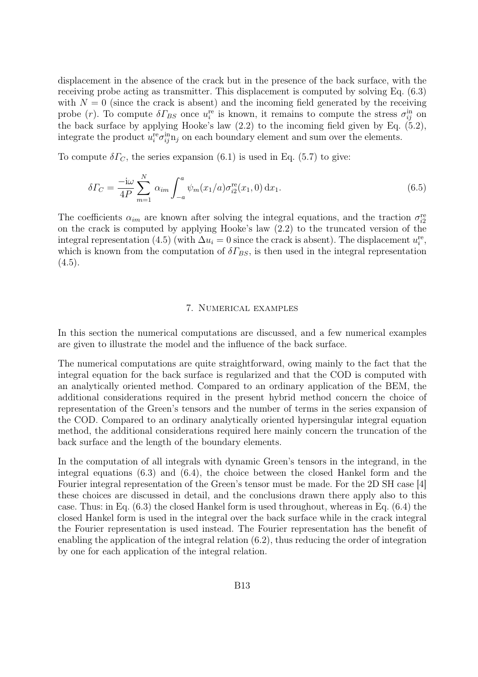displacement in the absence of the crack but in the presence of the back surface, with the receiving probe acting as transmitter. This displacement is computed by solving Eq. (6.3) with  $N = 0$  (since the crack is absent) and the incoming field generated by the receiving probe (*r*). To compute  $\delta\Gamma_{BS}$  once  $u_i^{\text{re}}$  is known, it remains to compute the stress  $\sigma_{ij}^{\text{in}}$  on the back surface by applying Hooke's law (2.2) to the incoming field given by Eq. (5.2), integrate the product  $u_i^{\text{re}} \sigma_{ij}^{\text{in}} n_j$  on each boundary element and sum over the elements.

To compute  $\delta \Gamma_C$ , the series expansion (6.1) is used in Eq. (5.7) to give:

$$
\delta\Gamma_C = \frac{-i\omega}{4P} \sum_{m=1}^{N} \alpha_{im} \int_{-a}^{a} \psi_m(x_1/a) \sigma_{i2}^{\text{re}}(x_1, 0) dx_1.
$$
 (6.5)

The coefficients  $\alpha_{im}$  are known after solving the integral equations, and the traction  $\sigma_{i2}^{\text{re}}$ on the crack is computed by applying Hooke's law (2.2) to the truncated version of the integral representation (4.5) (with  $\Delta u_i = 0$  since the crack is absent). The displacement  $u_i^{\text{re}}$ , which is known from the computation of  $\delta\Gamma_{BS}$ , is then used in the integral representation  $(4.5).$ 

## 7. Numerical examples

In this section the numerical computations are discussed, and a few numerical examples are given to illustrate the model and the influence of the back surface.

The numerical computations are quite straightforward, owing mainly to the fact that the integral equation for the back surface is regularized and that the COD is computed with an analytically oriented method. Compared to an ordinary application of the BEM, the additional considerations required in the present hybrid method concern the choice of representation of the Green's tensors and the number of terms in the series expansion of the COD. Compared to an ordinary analytically oriented hypersingular integral equation method, the additional considerations required here mainly concern the truncation of the back surface and the length of the boundary elements.

In the computation of all integrals with dynamic Green's tensors in the integrand, in the integral equations (6.3) and (6.4), the choice between the closed Hankel form and the Fourier integral representation of the Green's tensor must be made. For the 2D SH case [4] these choices are discussed in detail, and the conclusions drawn there apply also to this case. Thus: in Eq. (6.3) the closed Hankel form is used throughout, whereas in Eq. (6.4) the closed Hankel form is used in the integral over the back surface while in the crack integral the Fourier representation is used instead. The Fourier representation has the benefit of enabling the application of the integral relation (6.2), thus reducing the order of integration by one for each application of the integral relation.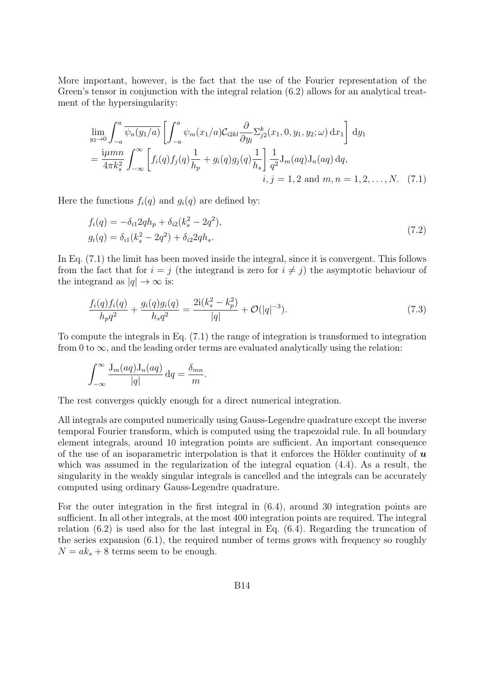More important, however, is the fact that the use of the Fourier representation of the Green's tensor in conjunction with the integral relation (6.2) allows for an analytical treatment of the hypersingularity:

$$
\lim_{y_2 \to 0} \int_{-a}^{a} \overline{\psi_n(y_1/a)} \left[ \int_{-a}^{a} \psi_m(x_1/a) C_{i2kl} \frac{\partial}{\partial y_l} \Sigma_{j2}^k(x_1, 0, y_1, y_2; \omega) dx_1 \right] dy_1
$$
\n
$$
= \frac{i \mu mn}{4\pi k_s^2} \int_{-\infty}^{\infty} \left[ f_i(q) f_j(q) \frac{1}{h_p} + g_i(q) g_j(q) \frac{1}{h_s} \right] \frac{1}{q^2} J_m(aq) J_n(aq) dq,
$$
\n*i, j = 1, 2, and m, n = 1, 2, ..., N.* (7.1)

Here the functions  $f_i(q)$  and  $g_i(q)$  are defined by:

$$
f_i(q) = -\delta_{i1} 2qh_p + \delta_{i2}(k_s^2 - 2q^2),
$$
  
\n
$$
g_i(q) = \delta_{i1}(k_s^2 - 2q^2) + \delta_{i2} 2qh_s.
$$
\n(7.2)

In Eq. (7.1) the limit has been moved inside the integral, since it is convergent. This follows from the fact that for  $i = j$  (the integrand is zero for  $i \neq j$ ) the asymptotic behaviour of the integrand as  $|q| \to \infty$  is:

$$
\frac{f_i(q)f_i(q)}{h_p q^2} + \frac{g_i(q)g_i(q)}{h_s q^2} = \frac{2i(k_s^2 - k_p^2)}{|q|} + \mathcal{O}(|q|^{-3}).\tag{7.3}
$$

To compute the integrals in Eq. (7.1) the range of integration is transformed to integration from 0 to  $\infty$ , and the leading order terms are evaluated analytically using the relation:

$$
\int_{-\infty}^{\infty} \frac{J_m(aq)J_n(aq)}{|q|} dq = \frac{\delta_{mn}}{m}.
$$

The rest converges quickly enough for a direct numerical integration.

All integrals are computed numerically using Gauss-Legendre quadrature except the inverse temporal Fourier transform, which is computed using the trapezoidal rule. In all boundary element integrals, around 10 integration points are sufficient. An important consequence of the use of an isoparametric interpolation is that it enforces the Hölder continuity of  $\boldsymbol{u}$ which was assumed in the regularization of the integral equation (4.4). As a result, the singularity in the weakly singular integrals is cancelled and the integrals can be accurately computed using ordinary Gauss-Legendre quadrature.

For the outer integration in the first integral in (6.4), around 30 integration points are sufficient. In all other integrals, at the most 400 integration points are required. The integral relation (6.2) is used also for the last integral in Eq. (6.4). Regarding the truncation of the series expansion (6.1), the required number of terms grows with frequency so roughly  $N = ak_s + 8$  terms seem to be enough.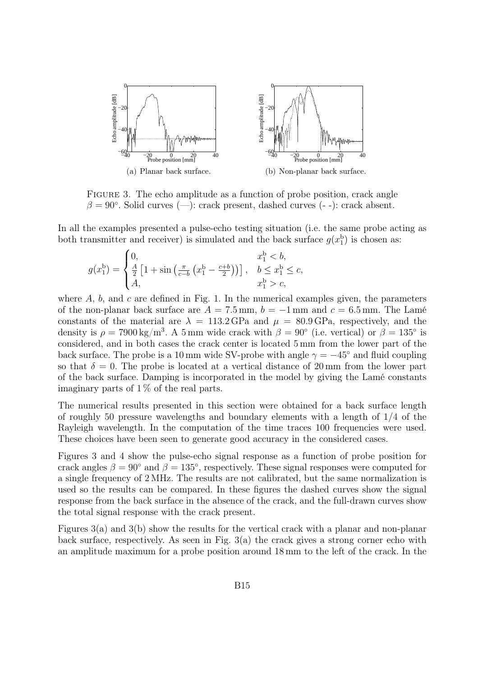

FIGURE 3. The echo amplitude as a function of probe position, crack angle  $\beta = 90^{\circ}$ . Solid curves (-): crack present, dashed curves (--): crack absent.

In all the examples presented a pulse-echo testing situation (i.e. the same probe acting as both transmitter and receiver) is simulated and the back surface  $g(x_1^b)$  is chosen as:

$$
g(x_1^b) = \begin{cases} 0, & x_1^b < b, \\ \frac{A}{2} \left[ 1 + \sin \left( \frac{\pi}{c - b} \left( x_1^b - \frac{c + b}{2} \right) \right) \right], & b \leq x_1^b \leq c, \\ A, & x_1^b > c, \end{cases}
$$

where  $A$ ,  $b$ , and  $c$  are defined in Fig. 1. In the numerical examples given, the parameters of the non-planar back surface are  $A = 7.5$  mm,  $b = -1$  mm and  $c = 6.5$  mm. The Lamé constants of the material are  $\lambda = 113.2 \text{ GPa}$  and  $\mu = 80.9 \text{ GPa}$ , respectively, and the density is  $\rho = 7900 \text{ kg/m}^3$ . A 5 mm wide crack with  $\beta = 90^\circ$  (i.e. vertical) or  $\beta = 135^\circ$  is considered, and in both cases the crack center is located 5 mm from the lower part of the back surface. The probe is a 10 mm wide SV-probe with angle  $\gamma = -45^\circ$  and fluid coupling so that  $\delta = 0$ . The probe is located at a vertical distance of 20 mm from the lower part of the back surface. Damping is incorporated in the model by giving the Lamé constants imaginary parts of 1 % of the real parts.

The numerical results presented in this section were obtained for a back surface length of roughly 50 pressure wavelengths and boundary elements with a length of  $1/4$  of the Rayleigh wavelength. In the computation of the time traces 100 frequencies were used. These choices have been seen to generate good accuracy in the considered cases.

Figures 3 and 4 show the pulse-echo signal response as a function of probe position for crack angles  $\beta = 90^{\circ}$  and  $\beta = 135^{\circ}$ , respectively. These signal responses were computed for a single frequency of 2 MHz. The results are not calibrated, but the same normalization is used so the results can be compared. In these figures the dashed curves show the signal response from the back surface in the absence of the crack, and the full-drawn curves show the total signal response with the crack present.

Figures 3(a) and 3(b) show the results for the vertical crack with a planar and non-planar back surface, respectively. As seen in Fig. 3(a) the crack gives a strong corner echo with an amplitude maximum for a probe position around 18 mm to the left of the crack. In the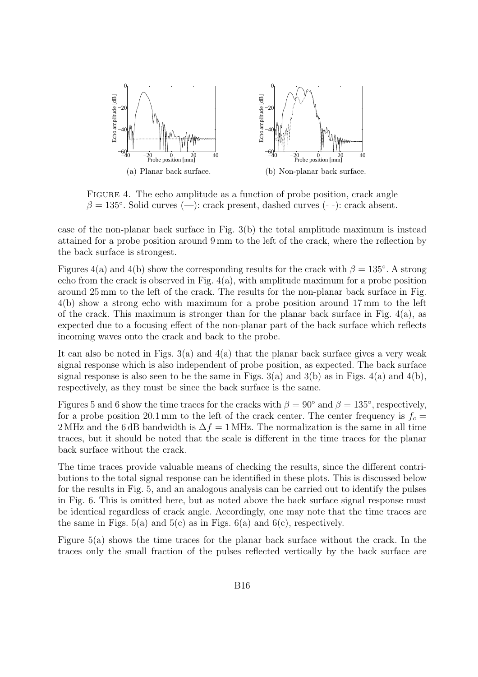

FIGURE 4. The echo amplitude as a function of probe position, crack angle  $\beta = 135^{\circ}$ . Solid curves (--): crack present, dashed curves (--): crack absent.

case of the non-planar back surface in Fig. 3(b) the total amplitude maximum is instead attained for a probe position around 9 mm to the left of the crack, where the reflection by the back surface is strongest.

Figures 4(a) and 4(b) show the corresponding results for the crack with  $\beta = 135^{\circ}$ . A strong echo from the crack is observed in Fig. 4(a), with amplitude maximum for a probe position around 25 mm to the left of the crack. The results for the non-planar back surface in Fig. 4(b) show a strong echo with maximum for a probe position around 17 mm to the left of the crack. This maximum is stronger than for the planar back surface in Fig.  $4(a)$ , as expected due to a focusing effect of the non-planar part of the back surface which reflects incoming waves onto the crack and back to the probe.

It can also be noted in Figs.  $3(a)$  and  $4(a)$  that the planar back surface gives a very weak signal response which is also independent of probe position, as expected. The back surface signal response is also seen to be the same in Figs.  $3(a)$  and  $3(b)$  as in Figs.  $4(a)$  and  $4(b)$ , respectively, as they must be since the back surface is the same.

Figures 5 and 6 show the time traces for the cracks with  $\beta = 90^{\circ}$  and  $\beta = 135^{\circ}$ , respectively, for a probe position 20.1 mm to the left of the crack center. The center frequency is  $f_c =$ 2 MHz and the 6 dB bandwidth is  $\Delta f = 1$  MHz. The normalization is the same in all time traces, but it should be noted that the scale is different in the time traces for the planar back surface without the crack.

The time traces provide valuable means of checking the results, since the different contributions to the total signal response can be identified in these plots. This is discussed below for the results in Fig. 5, and an analogous analysis can be carried out to identify the pulses in Fig. 6. This is omitted here, but as noted above the back surface signal response must be identical regardless of crack angle. Accordingly, one may note that the time traces are the same in Figs.  $5(a)$  and  $5(c)$  as in Figs.  $6(a)$  and  $6(c)$ , respectively.

Figure 5(a) shows the time traces for the planar back surface without the crack. In the traces only the small fraction of the pulses reflected vertically by the back surface are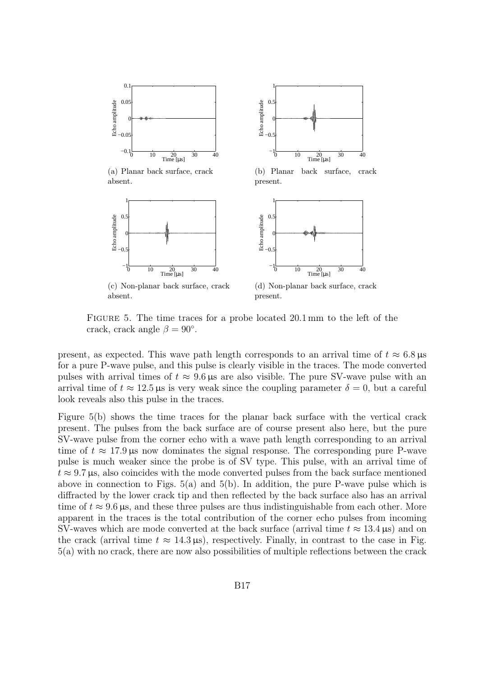

(a) Planar back surface, crack absent.



(c) Non-planar back surface, crack absent.



(b) Planar back surface, crack present.



(d) Non-planar back surface, crack present.

FIGURE 5. The time traces for a probe located 20.1 mm to the left of the crack, crack angle  $\beta = 90^{\circ}$ .

present, as expected. This wave path length corresponds to an arrival time of  $t \approx 6.8 \,\mu s$ for a pure P-wave pulse, and this pulse is clearly visible in the traces. The mode converted pulses with arrival times of  $t \approx 9.6 \,\mu s$  are also visible. The pure SV-wave pulse with an arrival time of  $t \approx 12.5 \,\mu s$  is very weak since the coupling parameter  $\delta = 0$ , but a careful look reveals also this pulse in the traces.

Figure 5(b) shows the time traces for the planar back surface with the vertical crack present. The pulses from the back surface are of course present also here, but the pure SV-wave pulse from the corner echo with a wave path length corresponding to an arrival time of  $t \approx 17.9 \,\mu s$  now dominates the signal response. The corresponding pure P-wave pulse is much weaker since the probe is of SV type. This pulse, with an arrival time of  $t \approx 9.7 \,\mu s$ , also coincides with the mode converted pulses from the back surface mentioned above in connection to Figs.  $5(a)$  and  $5(b)$ . In addition, the pure P-wave pulse which is diffracted by the lower crack tip and then reflected by the back surface also has an arrival time of  $t \approx 9.6 \,\mu s$ , and these three pulses are thus indistinguishable from each other. More apparent in the traces is the total contribution of the corner echo pulses from incoming SV-waves which are mode converted at the back surface (arrival time  $t \approx 13.4 \,\mu s$ ) and on the crack (arrival time  $t \approx 14.3 \,\mu s$ ), respectively. Finally, in contrast to the case in Fig. 5(a) with no crack, there are now also possibilities of multiple reflections between the crack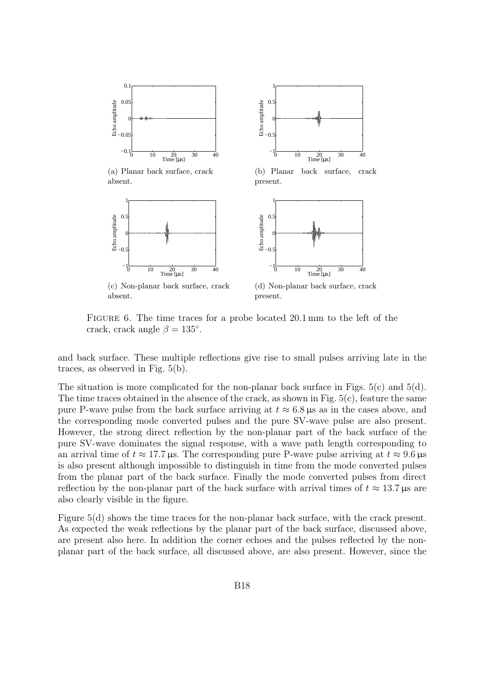

(a) Planar back surface, crack absent.



(c) Non-planar back surface, crack absent.



(b) Planar back surface, crack present.



(d) Non-planar back surface, crack present.

FIGURE 6. The time traces for a probe located 20.1 mm to the left of the crack, crack angle  $\beta = 135^{\circ}$ .

and back surface. These multiple reflections give rise to small pulses arriving late in the traces, as observed in Fig. 5(b).

The situation is more complicated for the non-planar back surface in Figs. 5(c) and 5(d). The time traces obtained in the absence of the crack, as shown in Fig. 5(c), feature the same pure P-wave pulse from the back surface arriving at  $t \approx 6.8 \,\mu s$  as in the cases above, and the corresponding mode converted pulses and the pure SV-wave pulse are also present. However, the strong direct reflection by the non-planar part of the back surface of the pure SV-wave dominates the signal response, with a wave path length corresponding to an arrival time of  $t \approx 17.7 \,\mu s$ . The corresponding pure P-wave pulse arriving at  $t \approx 9.6 \,\mu s$ is also present although impossible to distinguish in time from the mode converted pulses from the planar part of the back surface. Finally the mode converted pulses from direct reflection by the non-planar part of the back surface with arrival times of  $t \approx 13.7 \,\text{\textmu s}$  are also clearly visible in the figure.

Figure 5(d) shows the time traces for the non-planar back surface, with the crack present. As expected the weak reflections by the planar part of the back surface, discussed above, are present also here. In addition the corner echoes and the pulses reflected by the nonplanar part of the back surface, all discussed above, are also present. However, since the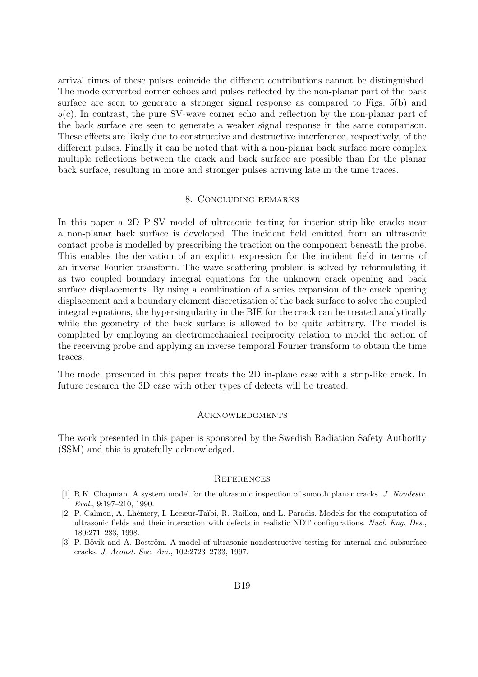arrival times of these pulses coincide the different contributions cannot be distinguished. The mode converted corner echoes and pulses reflected by the non-planar part of the back surface are seen to generate a stronger signal response as compared to Figs. 5(b) and 5(c). In contrast, the pure SV-wave corner echo and reflection by the non-planar part of the back surface are seen to generate a weaker signal response in the same comparison. These effects are likely due to constructive and destructive interference, respectively, of the different pulses. Finally it can be noted that with a non-planar back surface more complex multiple reflections between the crack and back surface are possible than for the planar back surface, resulting in more and stronger pulses arriving late in the time traces.

## 8. Concluding remarks

In this paper a 2D P-SV model of ultrasonic testing for interior strip-like cracks near a non-planar back surface is developed. The incident field emitted from an ultrasonic contact probe is modelled by prescribing the traction on the component beneath the probe. This enables the derivation of an explicit expression for the incident field in terms of an inverse Fourier transform. The wave scattering problem is solved by reformulating it as two coupled boundary integral equations for the unknown crack opening and back surface displacements. By using a combination of a series expansion of the crack opening displacement and a boundary element discretization of the back surface to solve the coupled integral equations, the hypersingularity in the BIE for the crack can be treated analytically while the geometry of the back surface is allowed to be quite arbitrary. The model is completed by employing an electromechanical reciprocity relation to model the action of the receiving probe and applying an inverse temporal Fourier transform to obtain the time traces.

The model presented in this paper treats the 2D in-plane case with a strip-like crack. In future research the 3D case with other types of defects will be treated.

## **ACKNOWLEDGMENTS**

The work presented in this paper is sponsored by the Swedish Radiation Safety Authority (SSM) and this is gratefully acknowledged.

#### **REFERENCES**

- [1] R.K. Chapman. A system model for the ultrasonic inspection of smooth planar cracks. J. Nondestr. Eval., 9:197–210, 1990.
- [2] P. Calmon, A. Lhémery, I. Lecæur-Taïbi, R. Raillon, and L. Paradis. Models for the computation of ultrasonic fields and their interaction with defects in realistic NDT configurations. Nucl. Eng. Des., 180:271–283, 1998.
- [3] P. Bövik and A. Boström. A model of ultrasonic nondestructive testing for internal and subsurface cracks. J. Acoust. Soc. Am., 102:2723–2733, 1997.